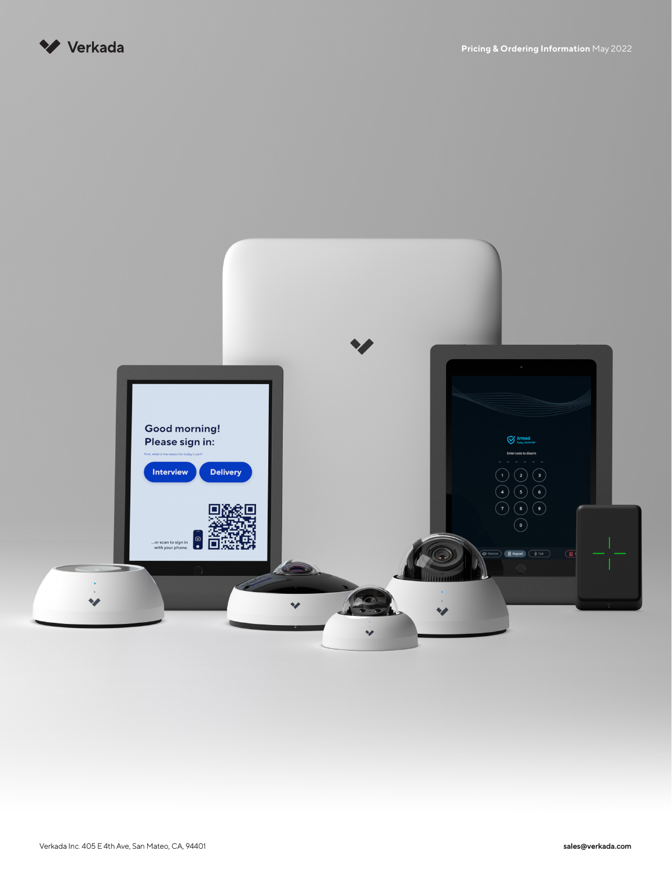

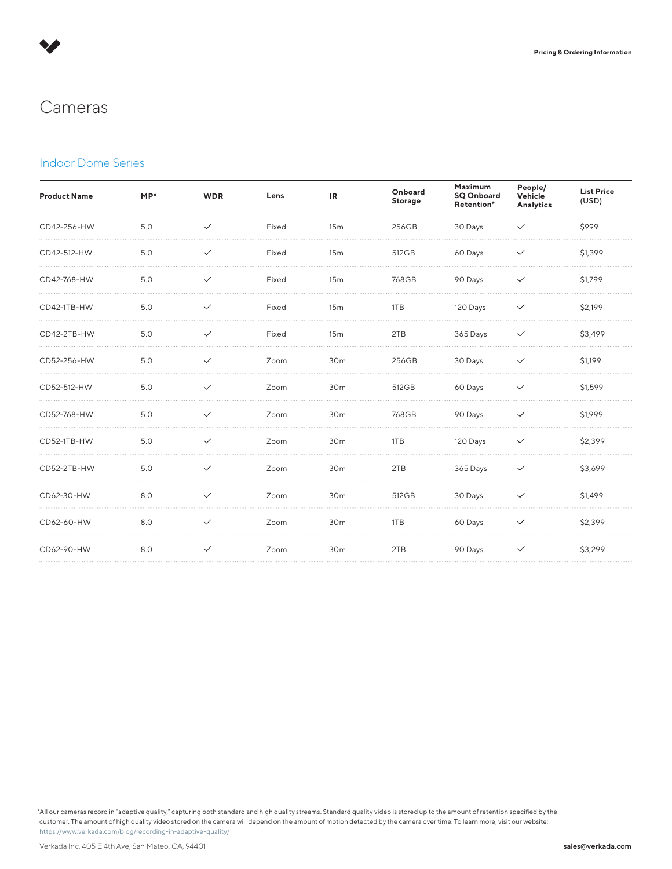#### Indoor Dome Series

| <b>Product Name</b> | $MP*$ | <b>WDR</b>   | Lens  | IR              | Onboard<br>Storage | Maximum<br><b>SQ Onboard</b><br>Retention* | People/<br>Vehicle<br>Analytics | <b>List Price</b><br>(USD) |
|---------------------|-------|--------------|-------|-----------------|--------------------|--------------------------------------------|---------------------------------|----------------------------|
| CD42-256-HW         | 5.0   | $\checkmark$ | Fixed | 15m             | 256GB              | 30 Days                                    | $\checkmark$                    | \$999                      |
| CD42-512-HW         | 5.0   | $\checkmark$ | Fixed | 15m             | 512GB              | 60 Days                                    | $\checkmark$                    | \$1,399                    |
| CD42-768-HW         | 5.0   | $\checkmark$ | Fixed | 15m             | 768GB              | 90 Days                                    | $\checkmark$                    | \$1,799                    |
| CD42-1TB-HW         | 5.0   | $\checkmark$ | Fixed | 15m             | 1TB                | 120 Days                                   | $\checkmark$                    | \$2,199                    |
| CD42-2TB-HW         | 5.0   | $\checkmark$ | Fixed | 15m             | 2TB                | 365 Days                                   | $\checkmark$                    | \$3,499                    |
| CD52-256-HW         | 5.0   | $\checkmark$ | Zoom  | 30 <sub>m</sub> | 256GB              | 30 Days                                    | $\checkmark$                    | \$1,199                    |
| CD52-512-HW         | 5.0   | $\checkmark$ | Zoom  | 30 <sub>m</sub> | 512GB              | 60 Days                                    | $\checkmark$                    | \$1,599                    |
| CD52-768-HW         | 5.0   | $\checkmark$ | Zoom  | 30 <sub>m</sub> | 768GB              | 90 Days                                    | $\checkmark$                    | \$1,999                    |
| CD52-1TB-HW         | 5.0   | $\checkmark$ | Zoom  | 30 <sub>m</sub> | 1TB                | 120 Days                                   | $\checkmark$                    | \$2,399                    |
| CD52-2TB-HW         | 5.0   | $\checkmark$ | Zoom  | 30 <sub>m</sub> | 2TB                | 365 Days                                   | $\checkmark$                    | \$3,699                    |
| CD62-30-HW          | 8.0   | $\checkmark$ | Zoom  | 30m             | 512GB              | 30 Days                                    | $\checkmark$                    | \$1,499                    |
| CD62-60-HW          | 8.0   | $\checkmark$ | Zoom  | 30 <sub>m</sub> | 1TB                | 60 Days                                    | $\checkmark$                    | \$2,399                    |
| CD62-90-HW          | 8.0   | $\checkmark$ | Zoom  | 30m             | 2TB                | 90 Days                                    | $\checkmark$                    | \$3,299                    |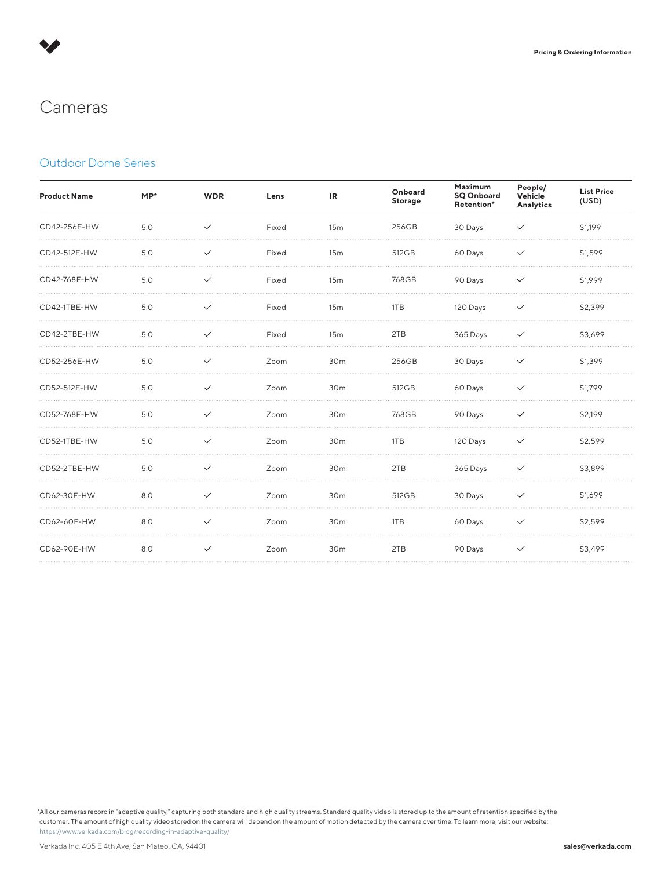#### Outdoor Dome Series

| <b>Product Name</b> | $MP*$ | <b>WDR</b>   | Lens  | IR              | Onboard<br>Storage | Maximum<br><b>SQ Onboard</b><br>Retention* | People/<br>Vehicle<br>Analytics | <b>List Price</b><br>(USD) |
|---------------------|-------|--------------|-------|-----------------|--------------------|--------------------------------------------|---------------------------------|----------------------------|
| CD42-256E-HW        | 5.0   | $\checkmark$ | Fixed | 15m             | 256GB              | 30 Days                                    | $\checkmark$                    | \$1,199                    |
| CD42-512E-HW        | 5.0   | $\checkmark$ | Fixed | 15 <sub>m</sub> | 512GB              | 60 Days                                    | $\checkmark$                    | \$1,599                    |
| CD42-768E-HW        | 5.0   | $\checkmark$ | Fixed | 15m             | 768GB              | 90 Days                                    | $\checkmark$                    | \$1,999                    |
| CD42-1TBE-HW        | 5.0   | $\checkmark$ | Fixed | 15m             | 1TB                | 120 Days                                   | $\checkmark$                    | \$2,399                    |
| CD42-2TBE-HW        | 5.0   | $\checkmark$ | Fixed | 15 <sub>m</sub> | 2TB                | 365 Days                                   | $\checkmark$                    | \$3,699                    |
| CD52-256E-HW        | 5.0   | $\checkmark$ | Zoom  | 30m             | 256GB              | 30 Days                                    | $\checkmark$                    | \$1,399                    |
| CD52-512E-HW        | 5.0   | $\checkmark$ | Zoom  | 30 <sub>m</sub> | 512GB              | 60 Days                                    | $\checkmark$                    | \$1,799                    |
| CD52-768E-HW        | 5.0   | $\checkmark$ | Zoom  | 30 <sub>m</sub> | 768GB              | 90 Days                                    | $\checkmark$                    | \$2,199                    |
| CD52-1TBE-HW        | 5.0   | $\checkmark$ | Zoom  | 30 <sub>m</sub> | 1TB                | 120 Days                                   | $\checkmark$                    | \$2,599                    |
| CD52-2TBE-HW        | 5.0   | $\checkmark$ | Zoom  | 30m             | 2TB                | 365 Days                                   | $\checkmark$                    | \$3,899                    |
| CD62-30E-HW         | 8.0   | $\checkmark$ | Zoom  | 30 <sub>m</sub> | 512GB              | 30 Days                                    | $\checkmark$                    | \$1,699                    |
| CD62-60E-HW         | 8.0   | $\checkmark$ | Zoom  | 30m             | 1TB                | 60 Days                                    | $\checkmark$                    | \$2,599                    |
| CD62-90E-HW         | 8.0   | $\checkmark$ | Zoom  | 30m             | 2TB                | 90 Days                                    | $\checkmark$                    | \$3,499                    |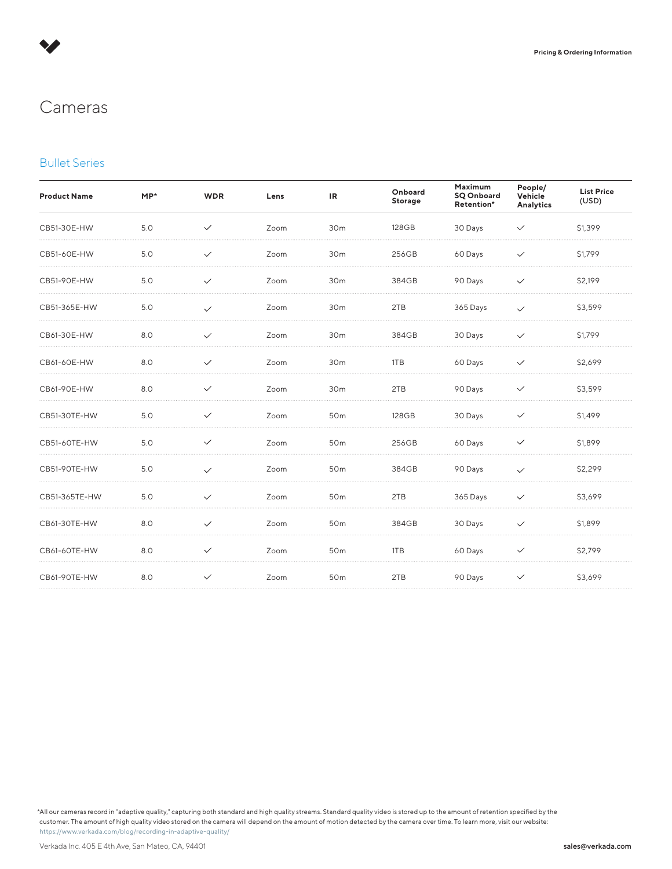#### Bullet Series

| <b>Product Name</b> | $MP*$ | <b>WDR</b>   | Lens | IR              | Onboard<br>Storage | Maximum<br><b>SQ Onboard</b><br>Retention* | People/<br>Vehicle<br>Analytics | <b>List Price</b><br>(USD) |
|---------------------|-------|--------------|------|-----------------|--------------------|--------------------------------------------|---------------------------------|----------------------------|
| CB51-30E-HW         | 5.0   | $\checkmark$ | Zoom | 30 <sub>m</sub> | 128GB              | 30 Days                                    | $\checkmark$                    | \$1,399                    |
| CB51-60E-HW         | 5.0   | $\checkmark$ | Zoom | 30 <sub>m</sub> | 256GB              | 60 Days                                    | $\checkmark$                    | \$1,799                    |
| CB51-90E-HW         | 5.0   | $\checkmark$ | Zoom | 30 <sub>m</sub> | 384GB              | 90 Days                                    | $\checkmark$                    | \$2,199                    |
| CB51-365E-HW        | 5.0   | $\checkmark$ | Zoom | 30 <sub>m</sub> | 2TB                | 365 Days                                   | $\checkmark$                    | \$3,599                    |
| CB61-30E-HW         | 8.0   | $\checkmark$ | Zoom | 30 <sub>m</sub> | 384GB              | 30 Days                                    | $\checkmark$                    | \$1,799                    |
| CB61-60E-HW         | 8.0   | $\checkmark$ | Zoom | 30 <sub>m</sub> | 1TB                | 60 Days                                    | $\checkmark$                    | \$2,699                    |
| CB61-90E-HW         | 8.0   | $\checkmark$ | Zoom | 30m             | 2TB                | 90 Days                                    | $\checkmark$                    | \$3,599                    |
| CB51-30TE-HW        | 5.0   | $\checkmark$ | Zoom | 50 <sub>m</sub> | 128GB              | 30 Days                                    | $\checkmark$                    | \$1,499                    |
| CB51-60TE-HW        | 5.0   | $\checkmark$ | Zoom | 50 <sub>m</sub> | 256GB              | 60 Days                                    | $\checkmark$                    | \$1,899                    |
| CB51-90TE-HW        | 5.0   | $\checkmark$ | Zoom | 50 <sub>m</sub> | 384GB              | 90 Days                                    | $\checkmark$                    | \$2,299                    |
| CB51-365TE-HW       | 5.0   | $\checkmark$ | Zoom | 50 <sub>m</sub> | 2TB                | 365 Days                                   | $\checkmark$                    | \$3,699                    |
| CB61-30TE-HW        | 8.0   | $\checkmark$ | Zoom | 50 <sub>m</sub> | 384GB              | 30 Days                                    | $\checkmark$                    | \$1,899                    |
| CB61-60TE-HW        | 8.0   | $\checkmark$ | Zoom | 50 <sub>m</sub> | 1TB                | 60 Days                                    | $\checkmark$                    | \$2,799                    |
| CB61-90TE-HW        | 8.0   | $\checkmark$ | Zoom | 50 <sub>m</sub> | 2TB                | 90 Days                                    | $\checkmark$                    | \$3,699                    |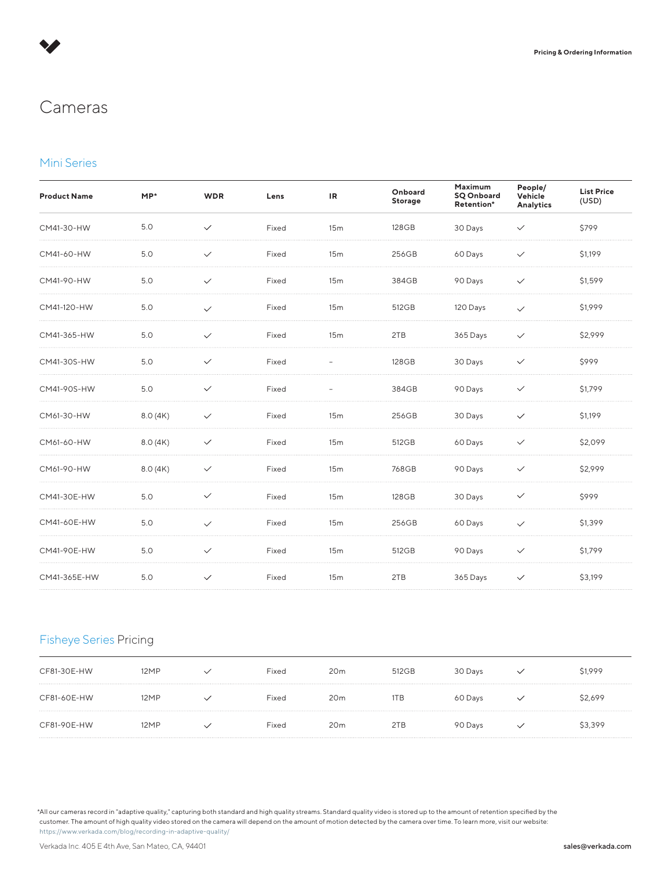#### Mini Series

| <b>Product Name</b> | $MP*$   | <b>WDR</b>   | Lens  | IR              | Onboard<br><b>Storage</b> | Maximum<br><b>SQ Onboard</b><br>Retention* | People/<br>Vehicle<br>Analytics | <b>List Price</b><br>(USD) |
|---------------------|---------|--------------|-------|-----------------|---------------------------|--------------------------------------------|---------------------------------|----------------------------|
| CM41-30-HW          | 5.0     | $\checkmark$ | Fixed | 15m             | 128GB                     | 30 Days                                    | $\checkmark$                    | \$799                      |
| CM41-60-HW          | 5.0     | $\checkmark$ | Fixed | 15 <sub>m</sub> | 256GB                     | 60 Days                                    | $\checkmark$                    | \$1,199                    |
| CM41-90-HW          | 5.0     | $\checkmark$ | Fixed | 15m             | 384GB                     | 90 Days                                    | $\checkmark$                    | \$1,599                    |
| CM41-120-HW         | 5.0     | $\checkmark$ | Fixed | 15m             | 512GB                     | 120 Days                                   | $\checkmark$                    | \$1,999                    |
| CM41-365-HW         | 5.0     | $\checkmark$ | Fixed | 15m             | 2TB                       | 365 Days                                   | $\checkmark$                    | \$2,999                    |
| CM41-30S-HW         | 5.0     | $\checkmark$ | Fixed |                 | 128GB                     | 30 Days                                    | $\checkmark$                    | \$999                      |
| CM41-90S-HW         | 5.0     | $\checkmark$ | Fixed | $ \,$           | 384GB                     | 90 Days                                    | $\checkmark$                    | \$1,799                    |
| CM61-30-HW          | 8.0(4K) | $\checkmark$ | Fixed | 15m             | 256GB                     | 30 Days                                    | $\checkmark$                    | \$1,199                    |
| CM61-60-HW          | 8.0(4K) | $\checkmark$ | Fixed | 15m             | 512GB                     | 60 Days                                    | $\checkmark$                    | \$2,099                    |
| CM61-90-HW          | 8.0(4K) | $\checkmark$ | Fixed | 15m             | 768GB                     | 90 Days                                    | $\checkmark$                    | \$2,999                    |
| CM41-30E-HW         | 5.0     | $\checkmark$ | Fixed | 15m             | 128GB                     | 30 Days                                    | $\checkmark$                    | \$999                      |
| CM41-60E-HW         | 5.0     | $\checkmark$ | Fixed | 15m             | 256GB                     | 60 Days                                    | $\checkmark$                    | \$1,399                    |
| CM41-90E-HW         | 5.0     | $\checkmark$ | Fixed | 15m             | 512GB                     | 90 Days                                    | $\checkmark$                    | \$1,799                    |
| CM41-365E-HW        | 5.0     | $\checkmark$ | Fixed | 15m             | 2TB                       | 365 Days                                   | $\checkmark$                    | \$3,199                    |

#### Fisheye Series Pricing

| CF81-30E-HW | '2MP | Fixed | 20m | 512GB | 30 Days | \$1,999 |
|-------------|------|-------|-----|-------|---------|---------|
| CF81-60E-HW | '2MP | Fixed | 20m | .TB   | 60 Days | 52.699  |
| CF81-90E-HW | 12MP | Fixed | 20m | 2T P  | 90 Days | ;3 30G  |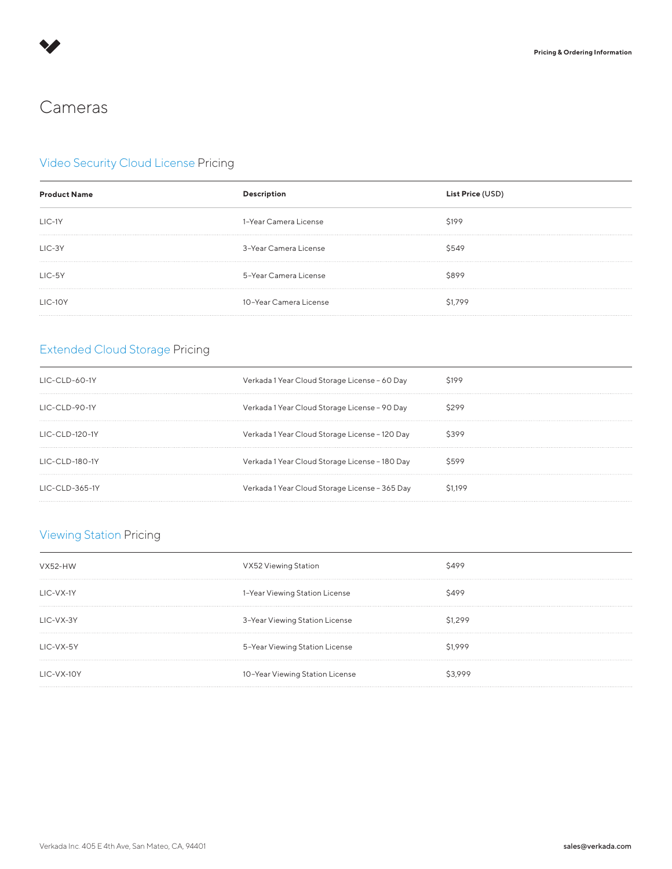### Video Security Cloud License Pricing

| <b>Product Name</b> | <b>Description</b>     | List Price (USD) |
|---------------------|------------------------|------------------|
| LIC-1Y              | 1-Year Camera License  | \$199            |
| LIC-3Y              | 3-Year Camera License  | <b>S549</b>      |
| LIC-5Y              | 5-Year Camera License  | \$899            |
| $LIC-10Y$           | 10-Year Camera License | \$1.799          |

#### Extended Cloud Storage Pricing

| LIC-CLD-60-1Y  | Verkada 1 Year Cloud Storage License - 60 Day  | S <sub>199</sub> |
|----------------|------------------------------------------------|------------------|
| LIC-CLD-90-1Y  | Verkada 1 Year Cloud Storage License - 90 Day  |                  |
| LIC-CLD-120-1Y | Verkada 1 Year Cloud Storage License - 120 Day | S399             |
| LIC-CLD-180-1Y | Verkada 1 Year Cloud Storage License - 180 Day | \$599            |
| LIC-CLD-365-1Y | Verkada 1 Year Cloud Storage License - 365 Day | \$1.199          |

### Viewing Station Pricing

| VX52-HW    | VX52 Viewing Station            |         |
|------------|---------------------------------|---------|
| LIC-VX-1Y  | 1-Year Viewing Station License  |         |
| LIC-VX-3Y  | 3-Year Viewing Station License  | \$1.299 |
| LIC-VX-5Y  | 5-Year Viewing Station License  | \$1,999 |
| LIC-VX-10Y | 10-Year Viewing Station License |         |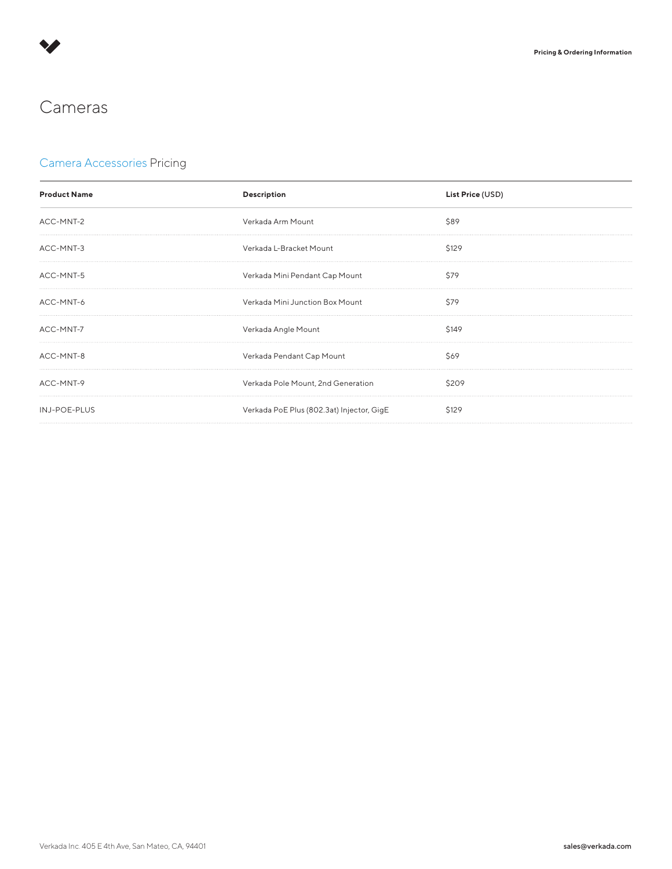**A** 

#### Camera Accessories Pricing

| <b>Product Name</b> | Description                               | List Price (USD) |
|---------------------|-------------------------------------------|------------------|
| ACC-MNT-2           | Verkada Arm Mount                         | \$89             |
| ACC-MNT-3           | Verkada L-Bracket Mount                   | \$129            |
| ACC-MNT-5           | Verkada Mini Pendant Cap Mount            | \$79             |
| ACC-MNT-6           | Verkada Mini Junction Box Mount           | \$79             |
| ACC-MNT-7           | Verkada Angle Mount                       | \$149            |
| ACC-MNT-8           | Verkada Pendant Cap Mount                 | \$69             |
| ACC-MNT-9           | Verkada Pole Mount, 2nd Generation        | \$209            |
| INJ-POE-PLUS        | Verkada PoE Plus (802.3at) Injector, GigE | \$129            |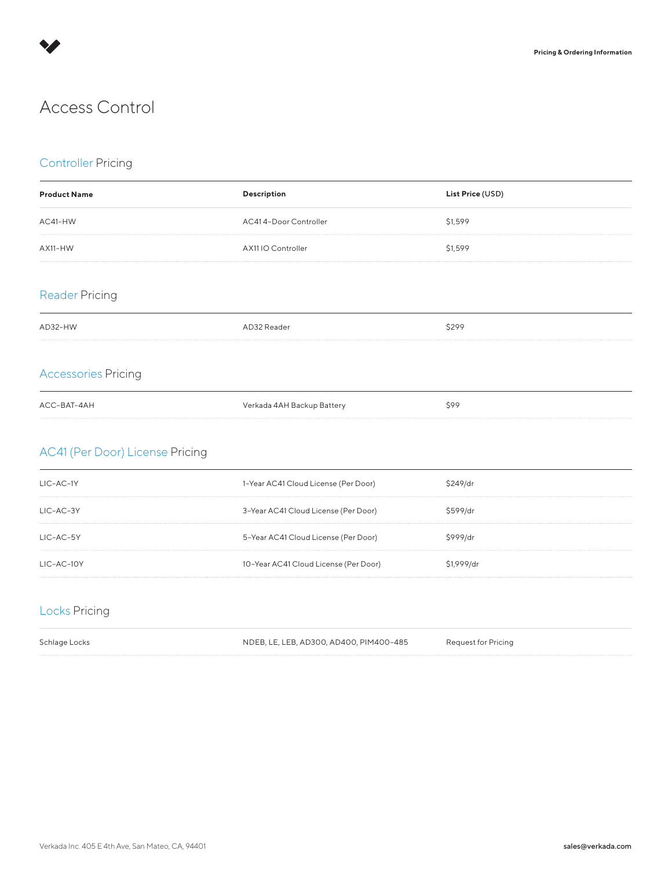# Access Control

#### Controller Pricing

| <b>Product Name</b>             | Description                           | List Price (USD) |
|---------------------------------|---------------------------------------|------------------|
| AC41-HW                         | AC414-Door Controller                 | \$1,599          |
| AX11-HW                         | AX11 IO Controller                    | \$1,599          |
| <b>Reader Pricing</b>           |                                       |                  |
| AD32-HW                         | AD32 Reader                           | \$299            |
| <b>Accessories Pricing</b>      |                                       |                  |
| ACC-BAT-4AH                     | Verkada 4AH Backup Battery            | \$99             |
| AC41 (Per Door) License Pricing |                                       |                  |
| LIC-AC-1Y                       | 1-Year AC41 Cloud License (Per Door)  | \$249/dr         |
| LIC-AC-3Y                       | 3-Year AC41 Cloud License (Per Door)  | \$599/dr         |
| LIC-AC-5Y                       | 5-Year AC41 Cloud License (Per Door)  | \$999/dr         |
| LIC-AC-10Y                      | 10-Year AC41 Cloud License (Per Door) | \$1,999/dr       |

#### Locks Pricing

| Schlage Locks | NDEB, LE, LEB, AD300, AD400, PIM400-485 | Request for Pricing |
|---------------|-----------------------------------------|---------------------|
|               |                                         |                     |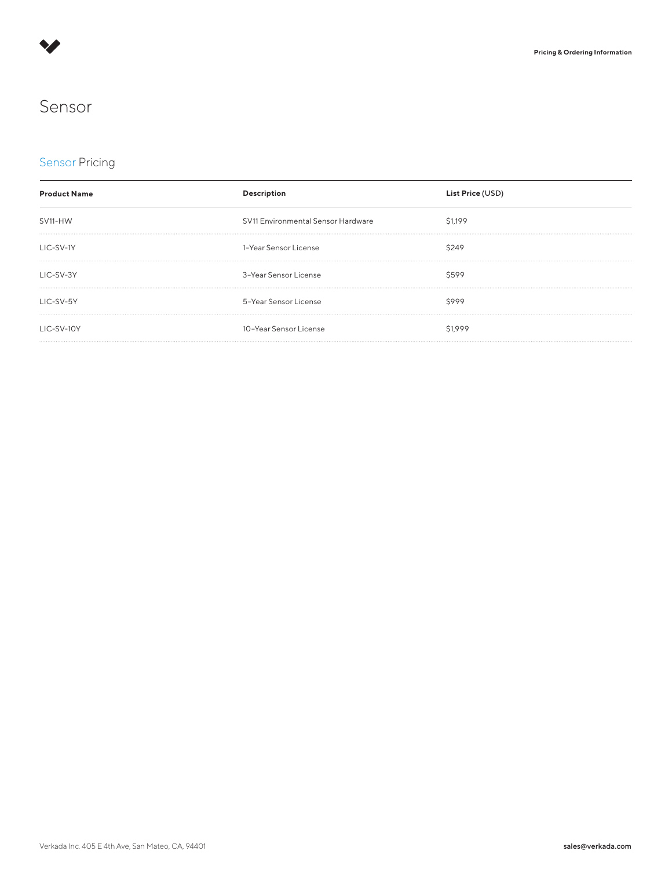# Sensor

### Sensor Pricing

| <b>Product Name</b> | <b>Description</b>                 | List Price (USD) |
|---------------------|------------------------------------|------------------|
| SV11-HW             | SV11 Environmental Sensor Hardware | \$1.199          |
| LIC-SV-1Y           | 1-Year Sensor License              | S <sub>249</sub> |
| LIC-SV-3Y           | 3-Year Sensor License              | \$599            |
| LIC-SV-5Y           | 5-Year Sensor License              |                  |
| LIC-SV-10Y          | 10-Year Sensor License             | \$1.999          |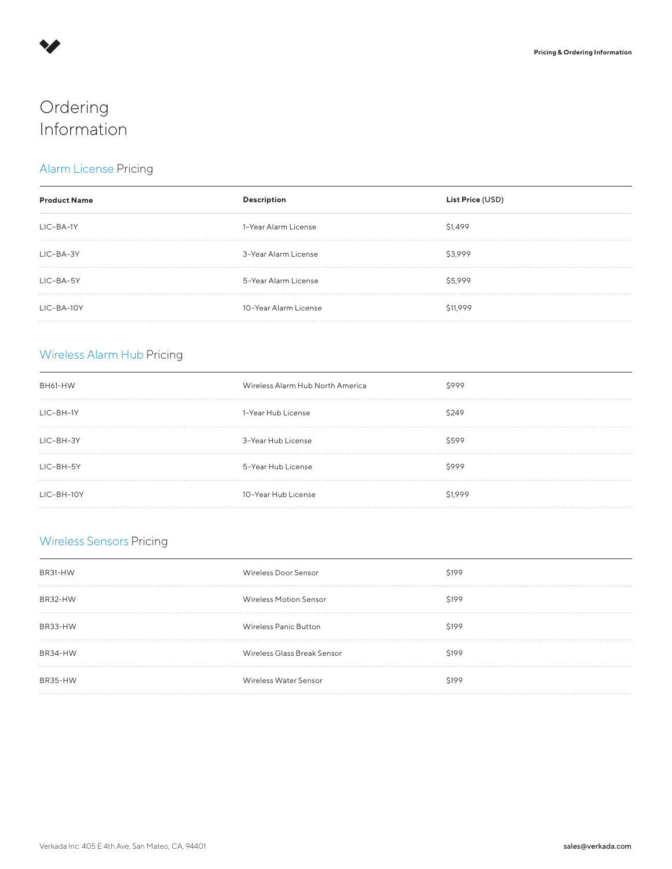# Ordering Information

## Alarm License Pricing

| <b>Product Name</b> |                       | List Price (USD) |
|---------------------|-----------------------|------------------|
| LIC-BA-1Y           | 1-Year Alarm License  | \$1,499          |
| LIC-BA-3Y           | 3-Year Alarm License  | \$3.999          |
| LIC-BA-5Y           | 5-Year Alarm License  | \$5.999          |
| LIC-BA-10Y          | 10-Year Alarm License | \$11.999         |

### Wireless Alarm Hub Pricing

| BH61-HW    | Wireless Alarm Hub North America |         |
|------------|----------------------------------|---------|
| LIC-BH-1Y  | 1-Year Hub License               |         |
| LIC-BH-3Y  | 3-Year Hub License               |         |
| LIC-BH-5Y  | 5-Year Hub License               |         |
| LIC-BH-10Y | 10-Year Hub License              | \$1,999 |

### Wireless Sensors Pricing

| BR31-HW | <b>Wireless Door Sensor</b>   |       |
|---------|-------------------------------|-------|
| BR32-HW | <b>Wireless Motion Sensor</b> | \$199 |
| BR33-HW | <b>Wireless Panic Button</b>  |       |
| BR34-HW | Wireless Glass Break Sensor   | \$199 |
| BR35-HW | Wireless Water Sensor         |       |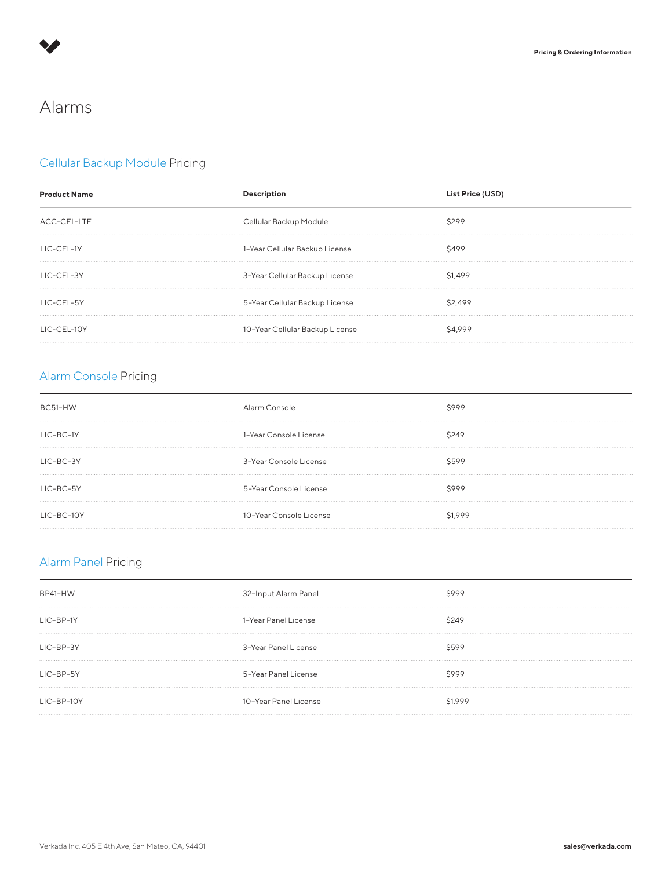# Alarms

#### Cellular Backup Module Pricing

| <b>Product Name</b> | <b>Description</b>              | List Price (USD) |
|---------------------|---------------------------------|------------------|
| ACC-CEL-LTE         | Cellular Backup Module          |                  |
| LIC-CEL-1Y          | 1-Year Cellular Backup License  | \$499            |
| LIC-CEL-3Y          | 3-Year Cellular Backup License  | \$1.499          |
| LIC-CEL-5Y          | 5-Year Cellular Backup License  | \$2.499          |
| LIC-CEL-10Y         | 10-Year Cellular Backup License | S4 999           |

### Alarm Console Pricing

| BC51-HW    | Alarm Console           |         |
|------------|-------------------------|---------|
| LIC-BC-1Y  | 1-Year Console License  |         |
| LIC-BC-3Y  | 3-Year Console License  |         |
| LIC-BC-5Y  | 5-Year Console License  |         |
| LIC-BC-10Y | 10-Year Console License | \$1,999 |

#### Alarm Panel Pricing

| BP41-HW    | 32-Input Alarm Panel  | S999    |
|------------|-----------------------|---------|
| LIC-BP-1Y  | 1-Year Panel License  | \$249   |
| LIC-BP-3Y  | 3-Year Panel License  | \$599   |
| LIC-BP-5Y  | 5-Year Panel License  | \$999   |
| LIC-BP-10Y | 10-Year Panel License | \$1,999 |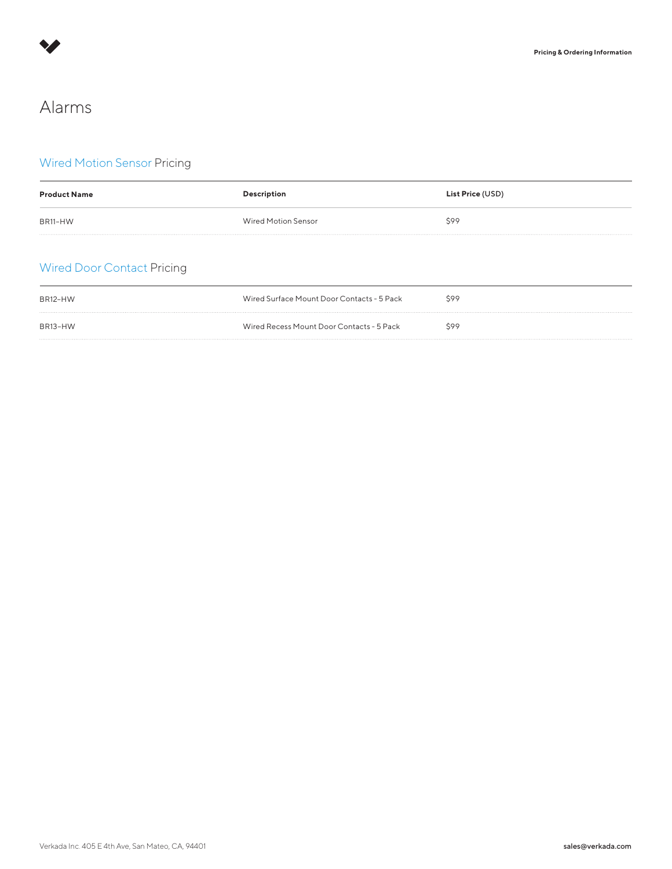## Alarms

Y

#### Wired Motion Sensor Pricing

| <b>Product Name</b>               | <b>Description</b>                         | List Price (USD) |
|-----------------------------------|--------------------------------------------|------------------|
| BR11-HW                           | <b>Wired Motion Sensor</b>                 | \$99             |
| <b>Wired Door Contact Pricing</b> |                                            |                  |
| BR12-HW                           | Wired Surface Mount Door Contacts - 5 Pack | \$99             |
| BR <sub>13</sub> -HW              | Wired Recess Mount Door Contacts - 5 Pack  | S99              |